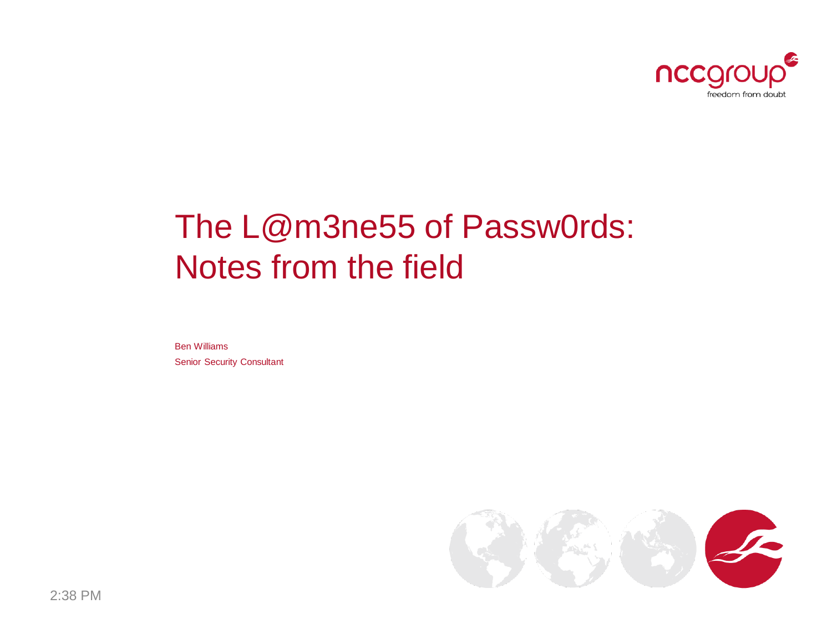

#### The L@m3ne55 of Passw0rds: Notes from the field

Ben Williams Senior Security Consultant

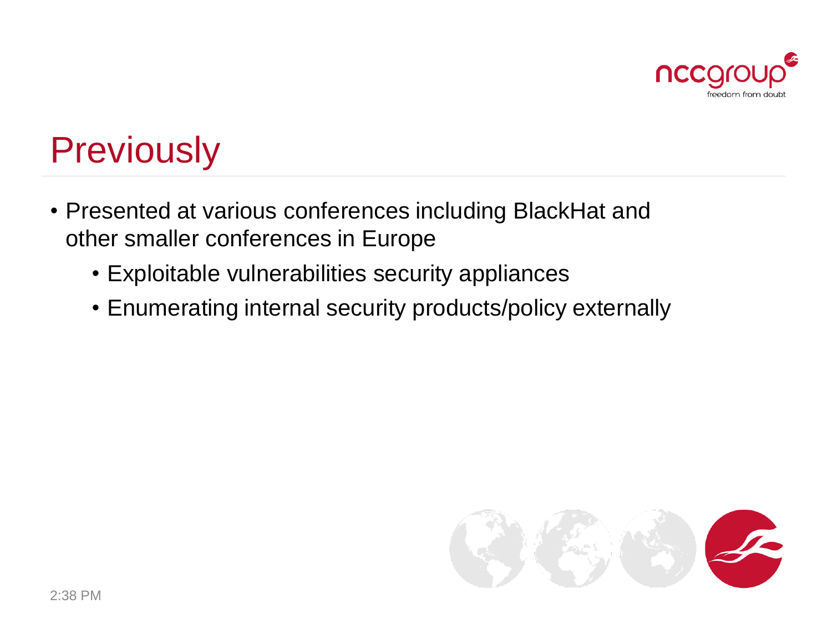

### **Previously**

- Presented at various conferences including BlackHat and other smaller conferences in Europe
	- Exploitable vulnerabilities security appliances
	- Enumerating internal security products/policy externally

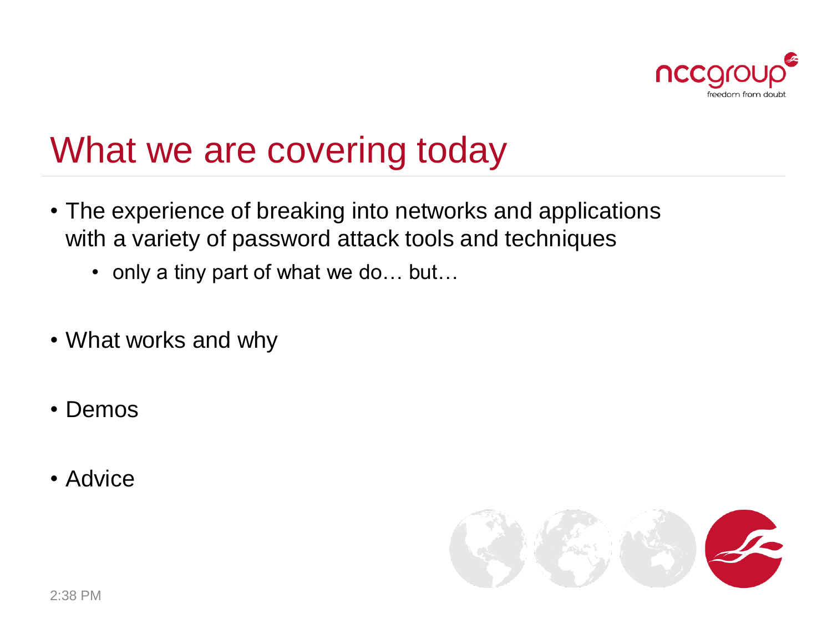

#### What we are covering today

- The experience of breaking into networks and applications with a variety of password attack tools and techniques
	- only a tiny part of what we do... but...
- What works and why
- Demos
- Advice

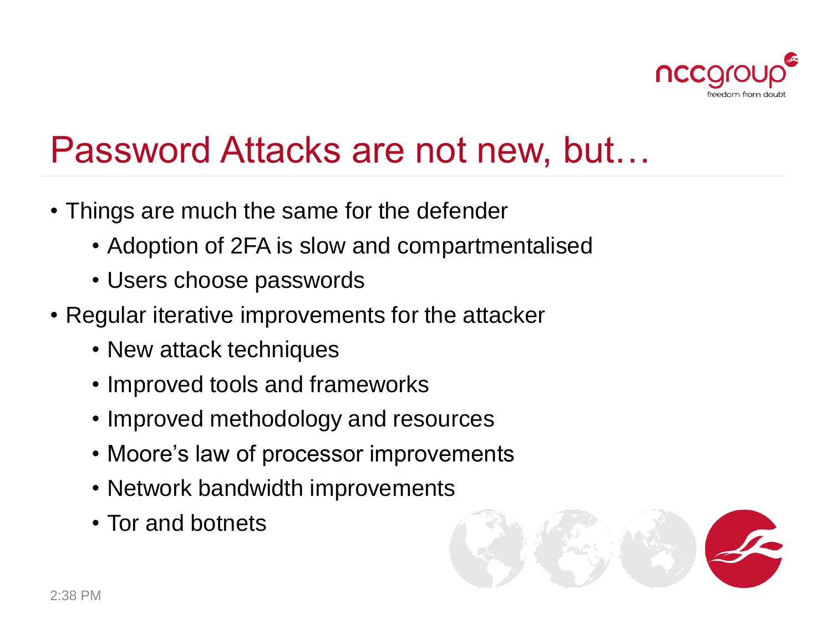

#### Password Attacks are not new, but…

- Things are much the same for the defender
	- Adoption of 2FA is slow and compartmentalised
	- Users choose passwords
- Regular iterative improvements for the attacker
	- New attack techniques
	- Improved tools and frameworks
	- Improved methodology and resources
	- Moore's law of processor improvements
	- Network bandwidth improvements
	- Tor and botnets

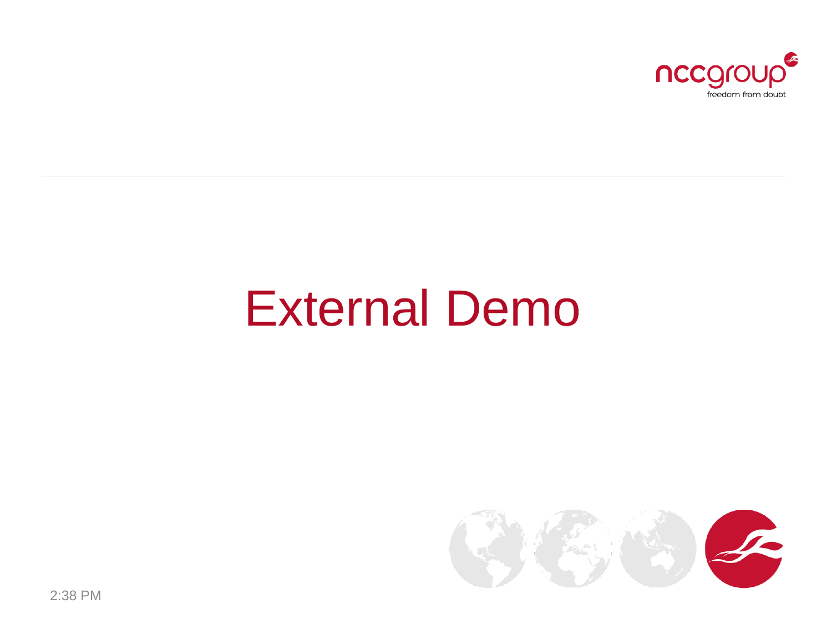

# External Demo



2:38 PM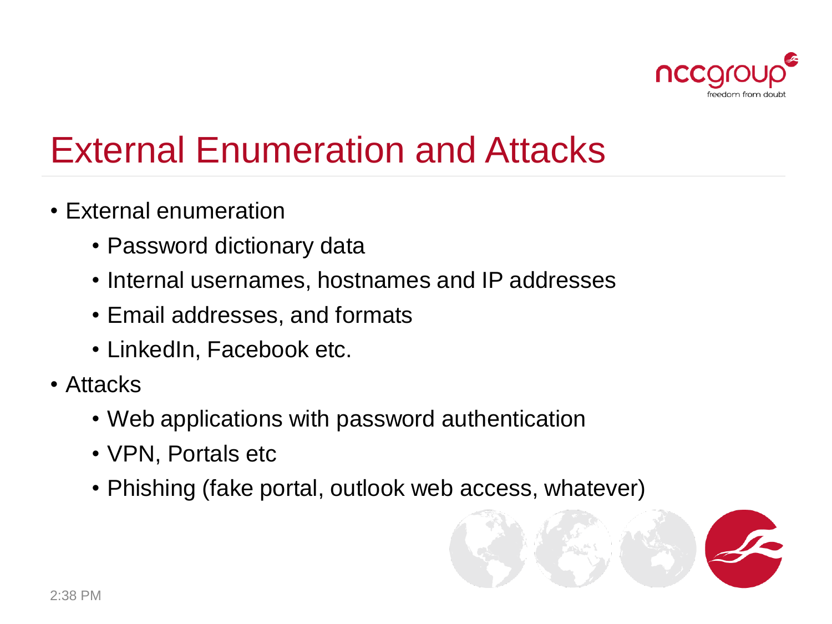

### External Enumeration and Attacks

- External enumeration
	- Password dictionary data
	- Internal usernames, hostnames and IP addresses
	- Email addresses, and formats
	- LinkedIn, Facebook etc.
- Attacks
	- Web applications with password authentication
	- VPN, Portals etc
	- Phishing (fake portal, outlook web access, whatever)

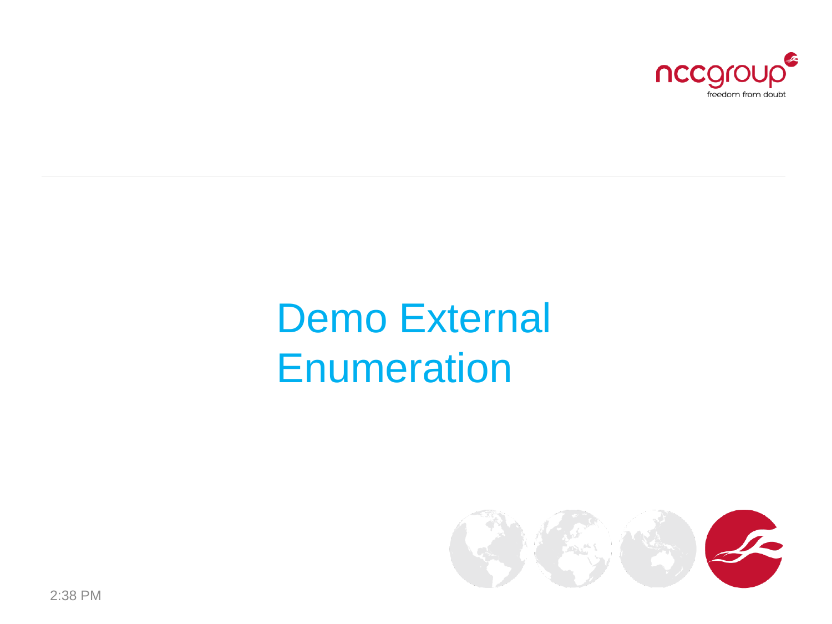

## Demo External **Enumeration**

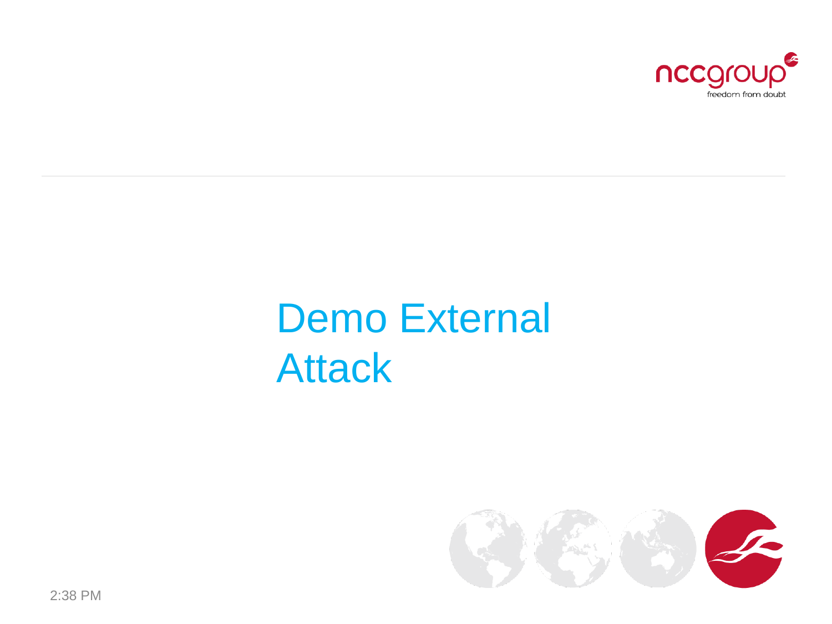

## Demo External **Attack**

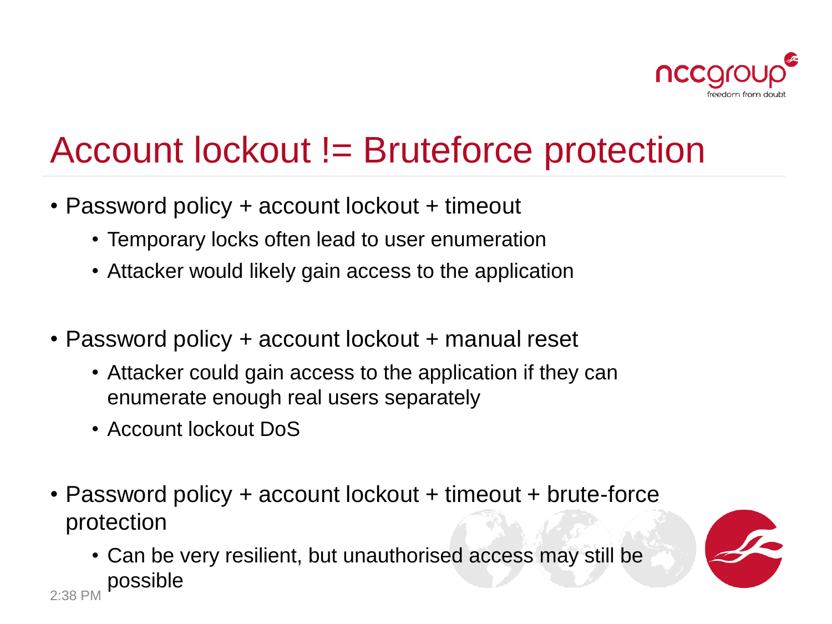

#### Account lockout != Bruteforce protection

- Password policy + account lockout + timeout
	- Temporary locks often lead to user enumeration
	- Attacker would likely gain access to the application
- Password policy + account lockout + manual reset
	- Attacker could gain access to the application if they can enumerate enough real users separately
	- Account lockout DoS
- Password policy + account lockout + timeout + brute-force protection
- Can be very resilient, but unauthorised access may still be possible 2:38 PM

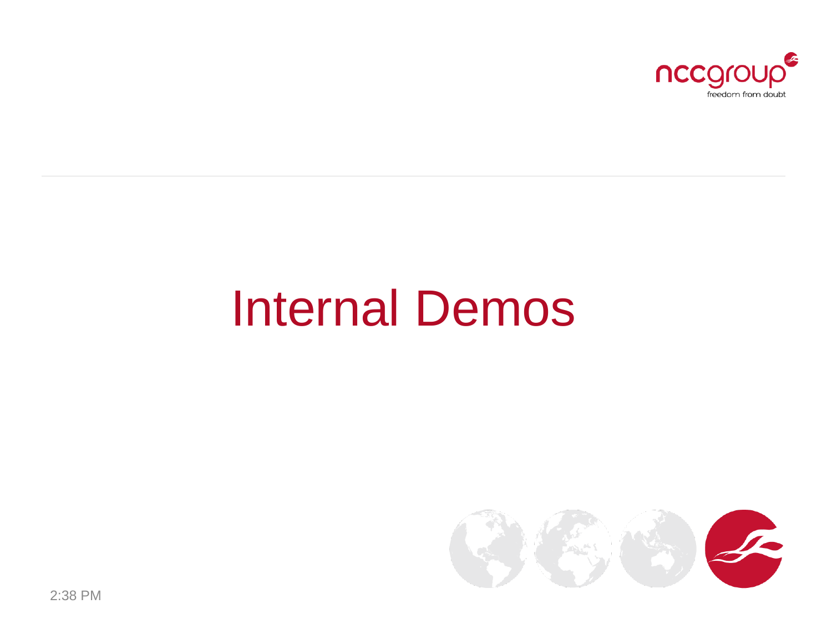

# Internal Demos



2:38 PM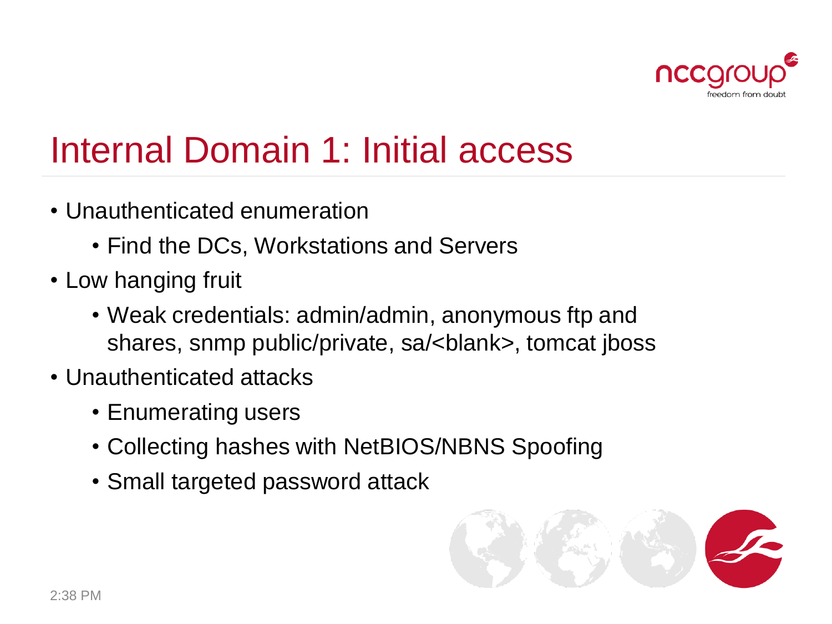

#### Internal Domain 1: Initial access

- Unauthenticated enumeration
	- Find the DCs, Workstations and Servers
- Low hanging fruit
	- Weak credentials: admin/admin, anonymous ftp and shares, snmp public/private, sa/<br/>blank>, tomcat jboss
- Unauthenticated attacks
	- Enumerating users
	- Collecting hashes with NetBIOS/NBNS Spoofing
	- Small targeted password attack

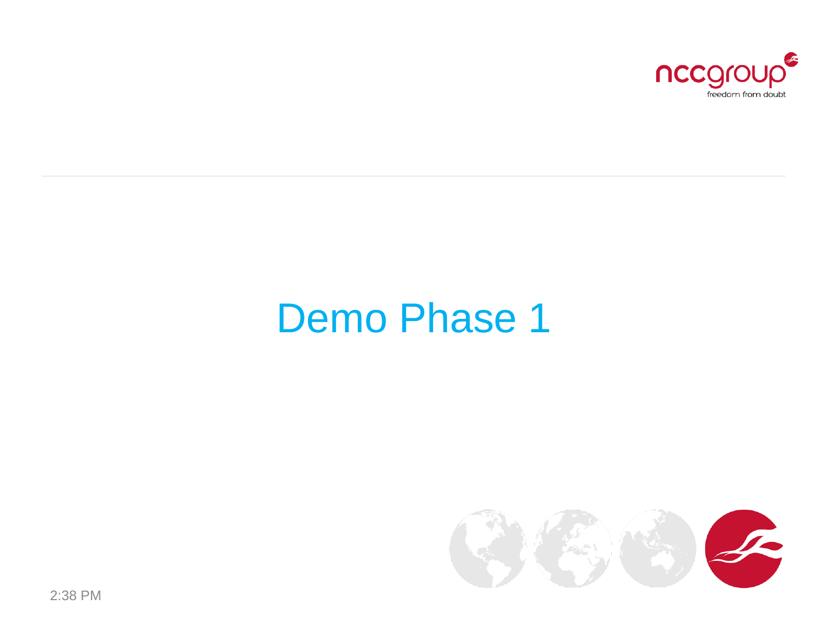

## Demo Phase 1

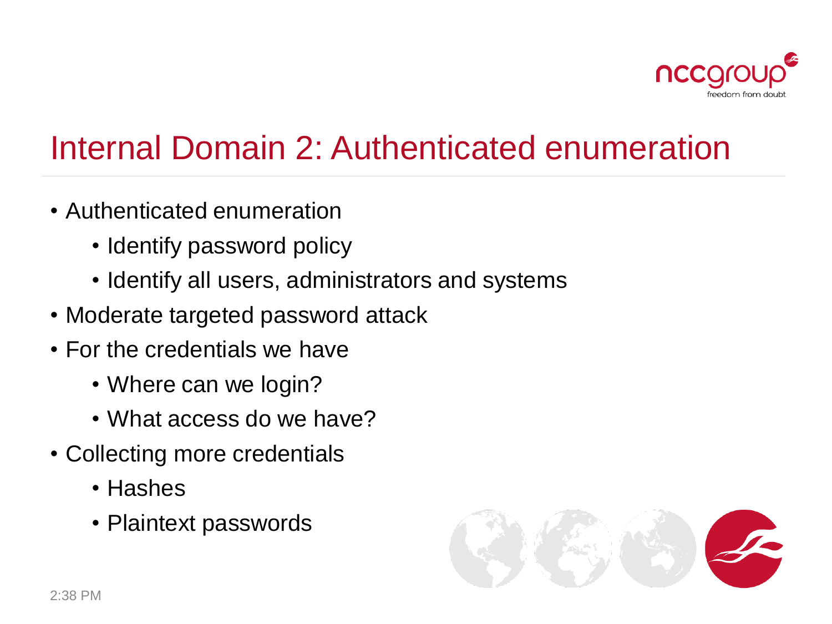

#### Internal Domain 2: Authenticated enumeration

- Authenticated enumeration
	- Identify password policy
	- Identify all users, administrators and systems
- Moderate targeted password attack
- For the credentials we have
	- Where can we login?
	- What access do we have?
- Collecting more credentials
	- Hashes
	- Plaintext passwords

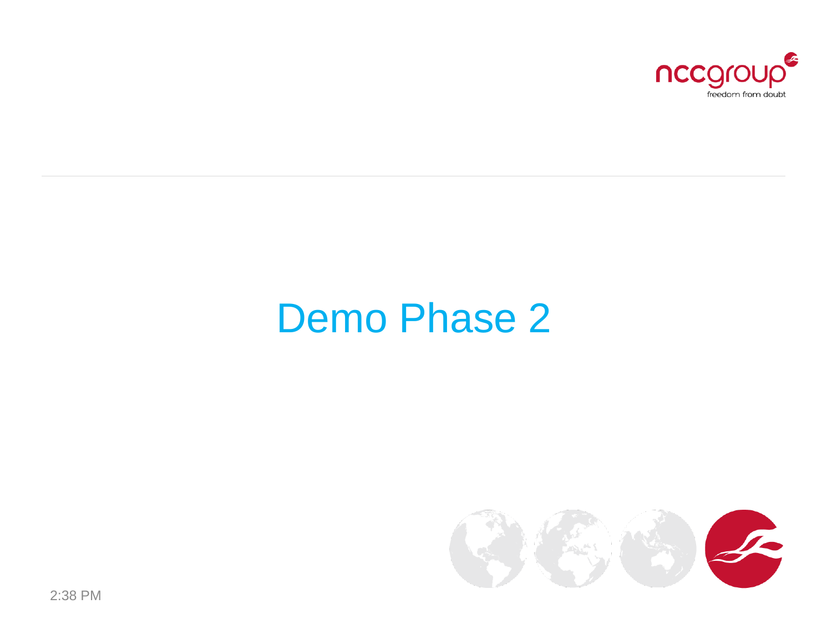

## Demo Phase 2



2:38 PM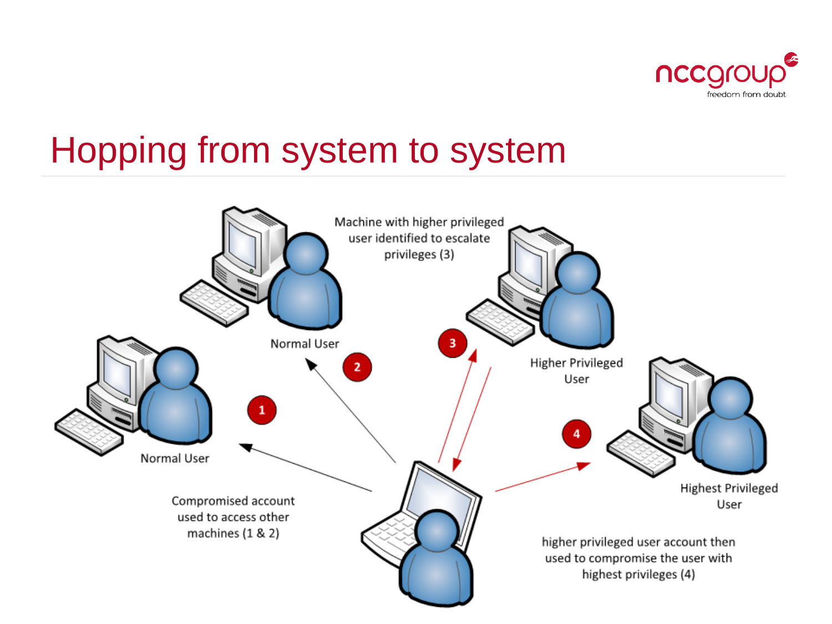

#### Hopping from system to system

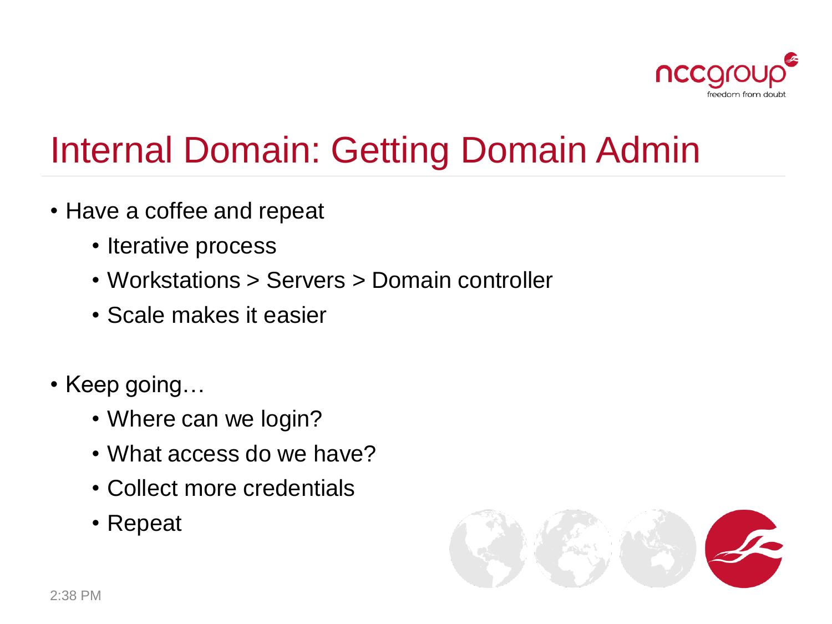

#### Internal Domain: Getting Domain Admin

- Have a coffee and repeat
	- Iterative process
	- Workstations > Servers > Domain controller
	- Scale makes it easier
- Keep going…
	- Where can we login?
	- What access do we have?
	- Collect more credentials
	- Repeat

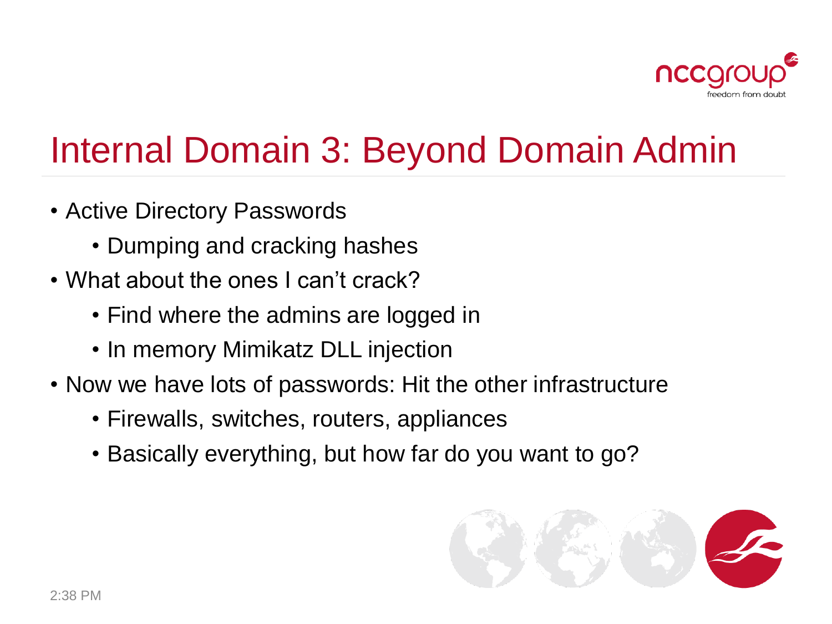

#### Internal Domain 3: Beyond Domain Admin

- Active Directory Passwords
	- Dumping and cracking hashes
- What about the ones I can't crack?
	- Find where the admins are logged in
	- In memory Mimikatz DLL injection
- Now we have lots of passwords: Hit the other infrastructure
	- Firewalls, switches, routers, appliances
	- Basically everything, but how far do you want to go?

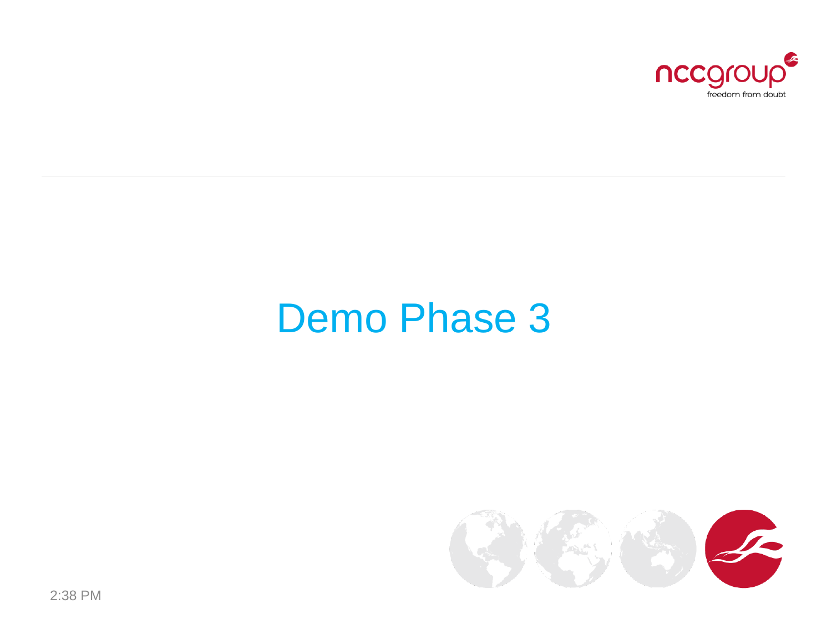

## Demo Phase 3



2:38 PM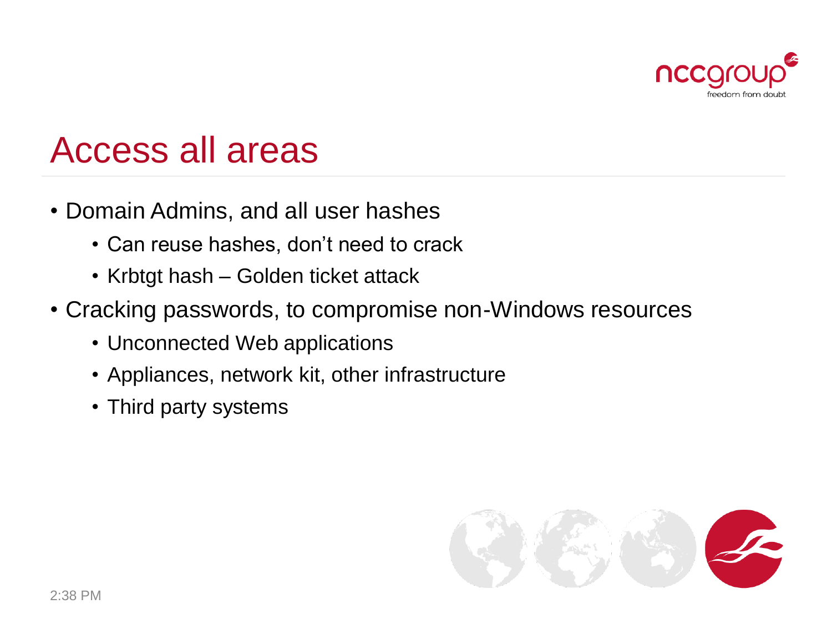

#### Access all areas

- Domain Admins, and all user hashes
	- Can reuse hashes, don't need to crack
	- Krbtgt hash Golden ticket attack
- Cracking passwords, to compromise non-Windows resources
	- Unconnected Web applications
	- Appliances, network kit, other infrastructure
	- Third party systems

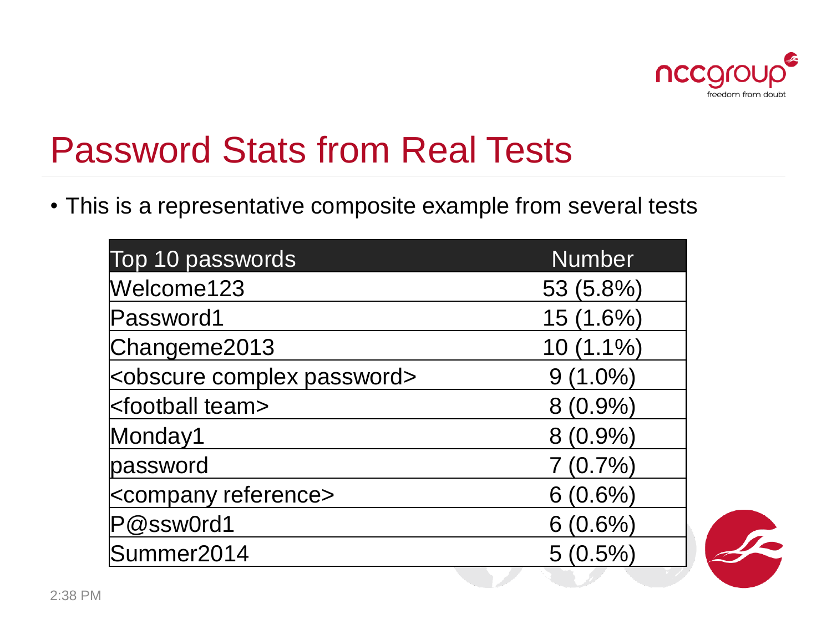

#### Password Stats from Real Tests

• This is a representative composite example from several tests

| Top 10 passwords                           | <b>Number</b>  |
|--------------------------------------------|----------------|
| Welcome123                                 | 53 (5.8%)      |
| Password1                                  | 15 (1.6%)      |
| Changeme2013                               | $10(1.1\%)$    |
| <obscure complex="" password=""></obscure> | $(1.0\%)$<br>9 |
| <football team=""></football>              | $8(0.9\%)$     |
| Monday1                                    | $8(0.9\%)$     |
| password                                   | 7(0.7%)        |
| <company reference=""></company>           | $6(0.6\%)$     |
| P@ssw0rd1                                  | $6(0.6\%)$     |
| Summer2014                                 | $(0.5\%)$      |
|                                            |                |

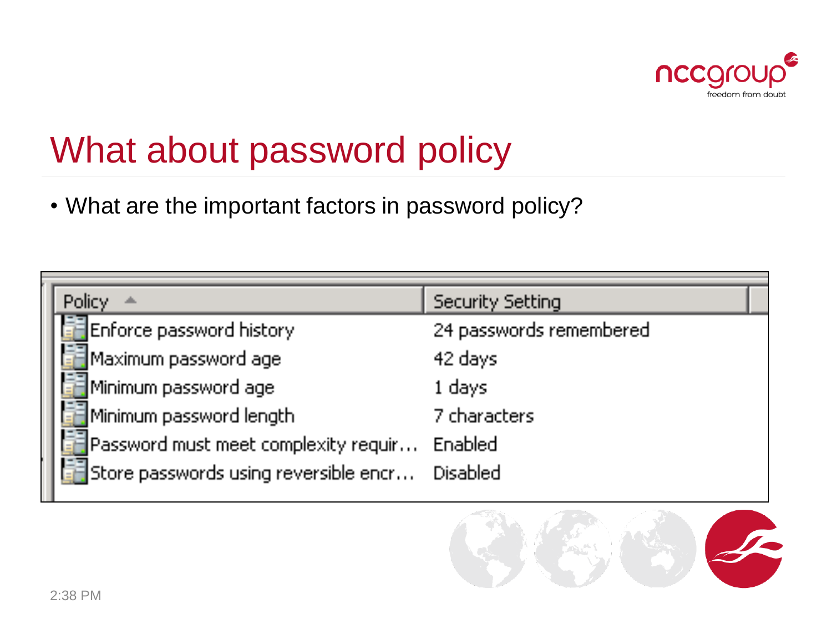

#### What about password policy

• What are the important factors in password policy?

| <b>Policy</b>                                                | Security Setting        |
|--------------------------------------------------------------|-------------------------|
| <b>E</b> Enforce password history                            | 24 passwords remembered |
| <b>E</b> Maximum password age                                | 42 days                 |
| <b>EF</b> Minimum password age                               | 1 days                  |
| Minimum password length                                      | 7 characters            |
| <b>Explorer Password must meet complexity requir</b> Enabled |                         |
| $\Box$ Store passwords using reversible encr $\dots$         | Disabled                |

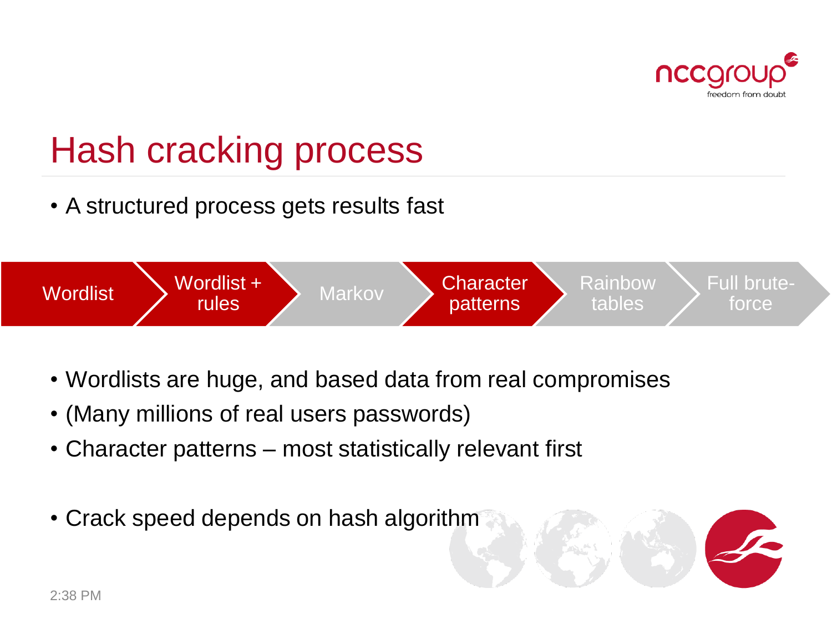

### Hash cracking process

• A structured process gets results fast



- Wordlists are huge, and based data from real compromises
- (Many millions of real users passwords)
- Character patterns most statistically relevant first
- Crack speed depends on hash algorithm

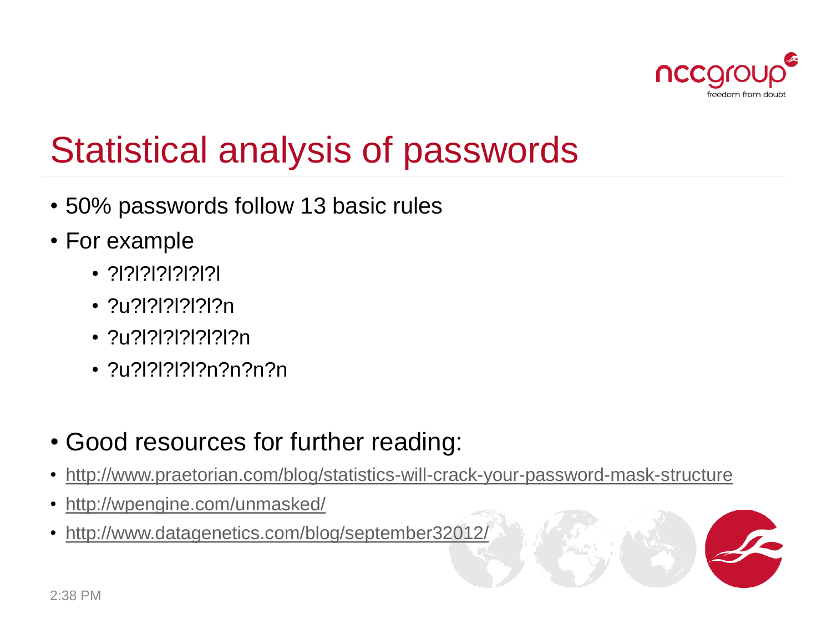

### Statistical analysis of passwords

- 50% passwords follow 13 basic rules
- For example
	- ?l?l?l?l?l?l?l
	- ?u?l?l?l?l?l?n
	- ?u?l?l?l?l?l?l?n
	- ?u?l?l?l?l?n?n?n?n
- Good resources for further reading:
- <http://www.praetorian.com/blog/statistics-will-crack-your-password-mask-structure>
- <http://wpengine.com/unmasked/>
- <http://www.datagenetics.com/blog/september32012/>

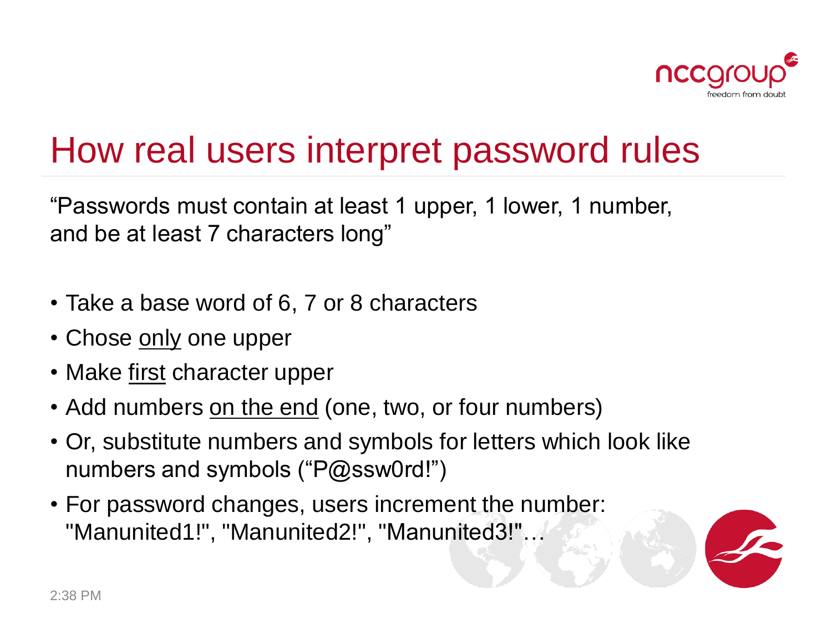

#### How real users interpret password rules

"Passwords must contain at least 1 upper, 1 lower, 1 number, and be at least 7 characters long"

- Take a base word of 6, 7 or 8 characters
- Chose only one upper
- Make <u>first</u> character upper
- Add numbers on the end (one, two, or four numbers)
- Or, substitute numbers and symbols for letters which look like numbers and symbols ("P@ssw0rd!")
- For password changes, users increment the number: "Manunited1!", "Manunited2!", "Manunited3!"…

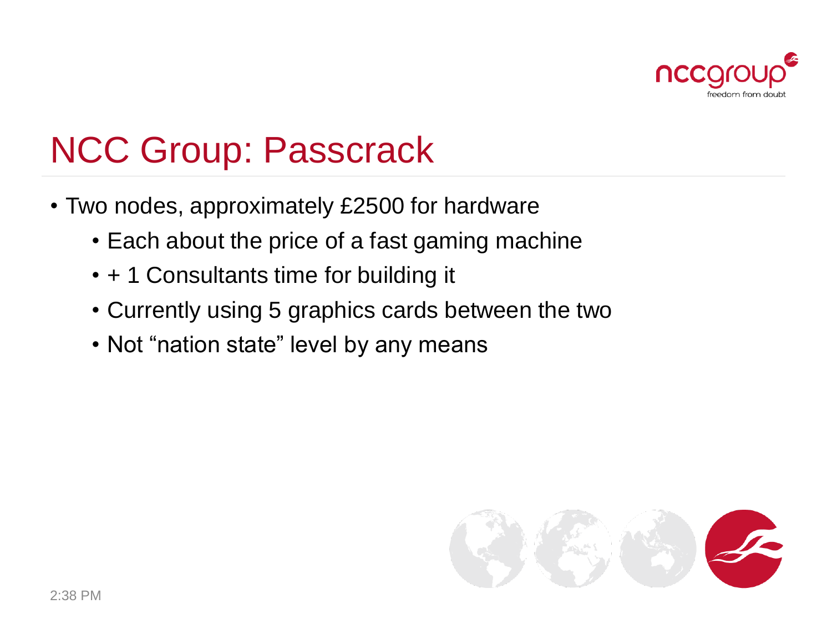

### NCC Group: Passcrack

- Two nodes, approximately £2500 for hardware
	- Each about the price of a fast gaming machine
	- + 1 Consultants time for building it
	- Currently using 5 graphics cards between the two
	- Not "nation state" level by any means

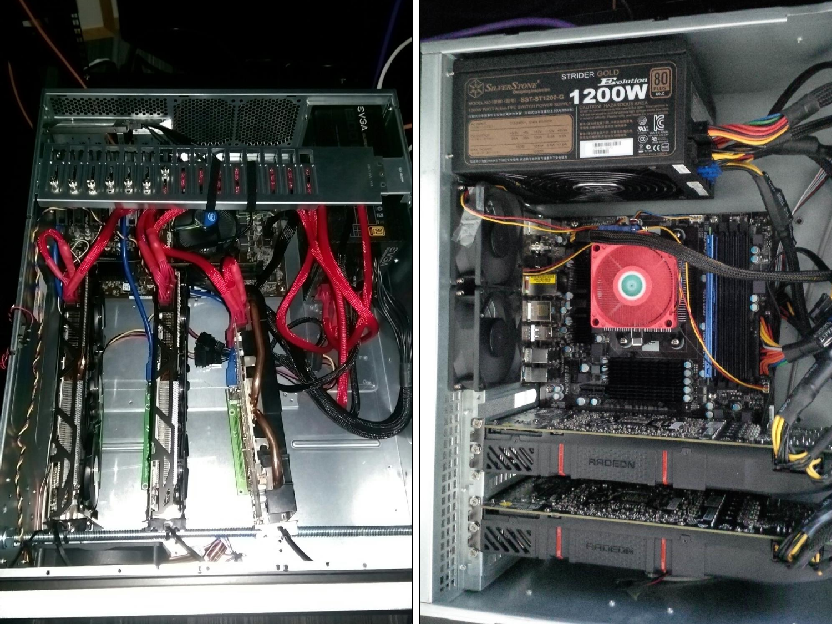

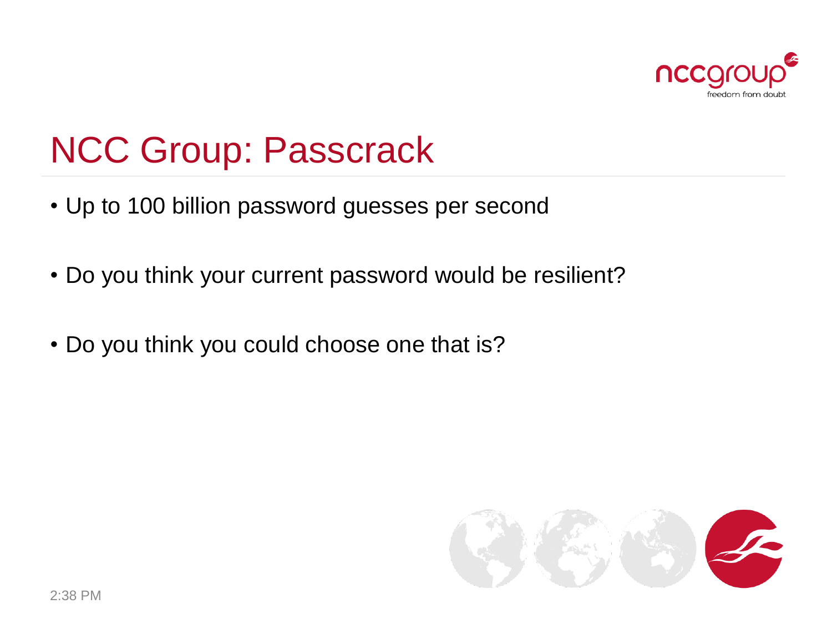

### NCC Group: Passcrack

- Up to 100 billion password guesses per second
- Do you think your current password would be resilient?
- Do you think you could choose one that is?

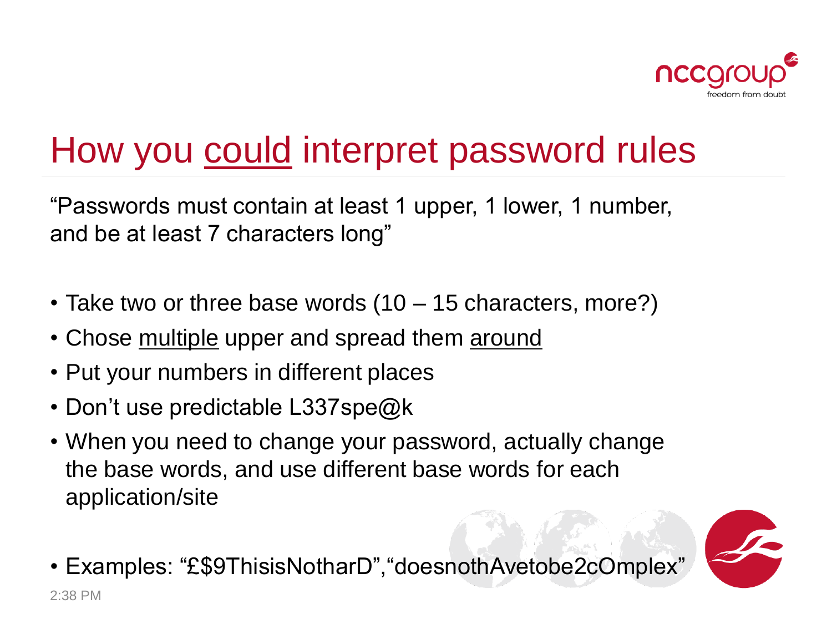

#### How you could interpret password rules

"Passwords must contain at least 1 upper, 1 lower, 1 number, and be at least 7 characters long"

- Take two or three base words (10 15 characters, more?)
- Chose multiple upper and spread them around
- Put your numbers in different places
- Don't use predictable L337spe@k
- When you need to change your password, actually change the base words, and use different base words for each application/site
- Examples: "£\$9ThisisNotharD","doesnothAvetobe2cOmplex" 2:38 PM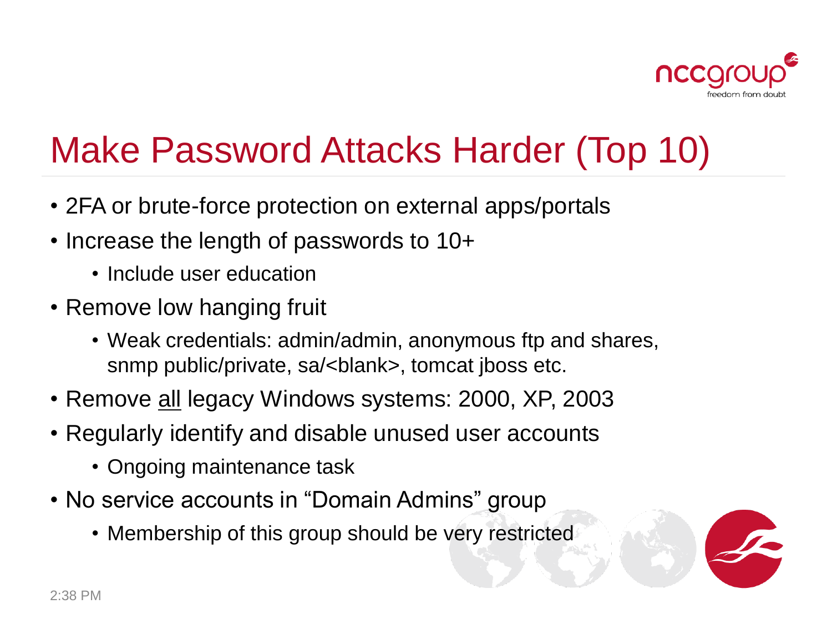

### Make Password Attacks Harder (Top 10)

- 2FA or brute-force protection on external apps/portals
- Increase the length of passwords to 10+
	- Include user education
- Remove low hanging fruit
	- Weak credentials: admin/admin, anonymous ftp and shares, snmp public/private, sa/<br/>blank>, tomcat jboss etc.
- Remove all legacy Windows systems: 2000, XP, 2003
- Regularly identify and disable unused user accounts
	- Ongoing maintenance task
- No service accounts in "Domain Admins" group
	- Membership of this group should be very restricted

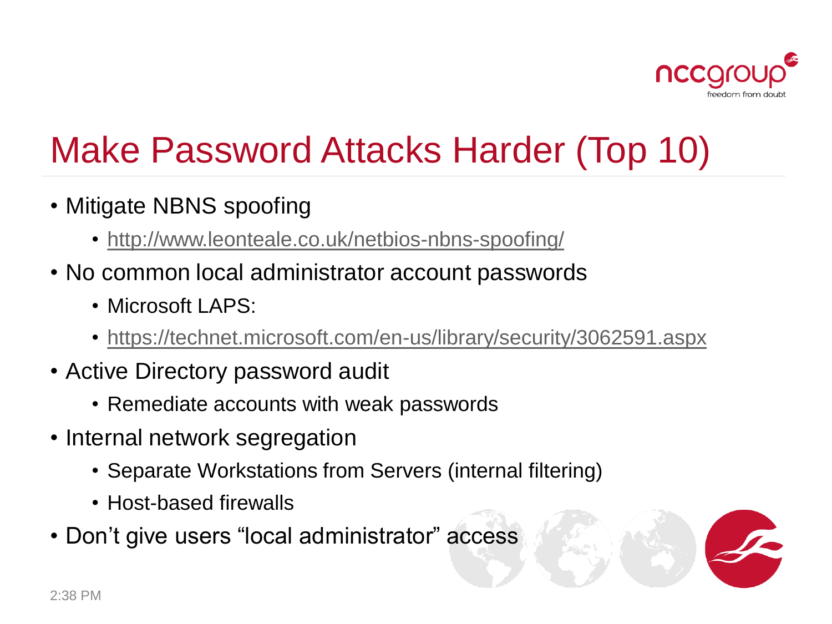

### Make Password Attacks Harder (Top 10)

- Mitigate NBNS spoofing
	- <http://www.leonteale.co.uk/netbios-nbns-spoofing/>
- No common local administrator account passwords
	- Microsoft LAPS:
	- <https://technet.microsoft.com/en-us/library/security/3062591.aspx>
- Active Directory password audit
	- Remediate accounts with weak passwords
- Internal network segregation
	- Separate Workstations from Servers (internal filtering)
	- Host-based firewalls
- Don't give users "local administrator" access